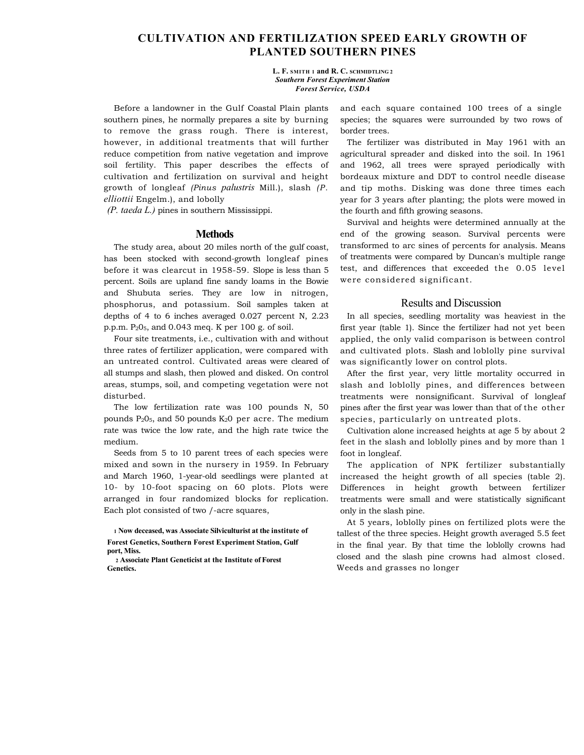## **CULTIVATION AND FERTILIZATION SPEED EARLY GROWTH OF PLANTED SOUTHERN PINES**

**L. F. SMITH 1 and R. C. SCHMIDTLING 2**  *Southern Forest Experiment Station Forest Service, USDA* 

Before a landowner in the Gulf Coastal Plain plants southern pines, he normally prepares a site by burning to remove the grass rough. There is interest, however, in additional treatments that will further reduce competition from native vegetation and improve soil fertility. This paper describes the effects of cultivation and fertilization on survival and height growth of longleaf *(Pinus palustris* Mill.), slash *(P. elliottii* Engelm.), and lobolly

*(P. taeda L.)* pines in southern Mississippi.

## **Methods**

The study area, about 20 miles north of the gulf coast, has been stocked with second-growth longleaf pines before it was clearcut in 1958-59. Slope is less than 5 percent. Soils are upland fine sandy loams in the Bowie and Shubuta series. They are low in nitrogen, phosphorus, and potassium. Soil samples taken at depths of 4 to 6 inches averaged 0.027 percent N, 2.23 p.p.m. P205, and 0.043 meq. K per 100 g. of soil.

Four site treatments, i.e., cultivation with and without three rates of fertilizer application, were compared with an untreated control. Cultivated areas were cleared of all stumps and slash, then plowed and disked. On control areas, stumps, soil, and competing vegetation were not disturbed.

The low fertilization rate was 100 pounds N, 50 pounds  $P_2O_5$ , and 50 pounds  $K_2O$  per acre. The medium rate was twice the low rate, and the high rate twice the medium.

Seeds from 5 to 10 parent trees of each species were mixed and sown in the nursery in 1959. In February and March 1960, 1-year-old seedlings were planted at 10- by 10-foot spacing on 60 plots. Plots were arranged in four randomized blocks for replication. Each plot consisted of two /-acre squares,

**1 Now deceased, was Associate Silviculturist at the institute of Forest Genetics, Southern Forest Experiment Station, Gulf port, Miss.** 

**2 Associate Plant Geneticist at the Institute of Forest Genetics.** 

and each square contained 100 trees of a single species; the squares were surrounded by two rows of border trees.

The fertilizer was distributed in May 1961 with an agricultural spreader and disked into the soil. In 1961 and 1962, all trees were sprayed periodically with bordeaux mixture and DDT to control needle disease and tip moths. Disking was done three times each year for 3 years after planting; the plots were mowed in the fourth and fifth growing seasons.

Survival and heights were determined annually at the end of the growing season. Survival percents were transformed to arc sines of percents for analysis. Means of treatments were compared by Duncan's multiple range test, and differences that exceeded the 0.05 level were considered significant.

## Results and Discussion

In all species, seedling mortality was heaviest in the first year (table 1). Since the fertilizer had not yet been applied, the only valid comparison is between control and cultivated plots. Slash and loblolly pine survival was significantly lower on control plots.

After the first year, very little mortality occurred in slash and loblolly pines, and differences between treatments were nonsignificant. Survival of longleaf pines after the first year was lower than that of the other species, particularly on untreated plots.

Cultivation alone increased heights at age 5 by about 2 feet in the slash and loblolly pines and by more than 1 foot in longleaf.

The application of NPK fertilizer substantially increased the height growth of all species (table 2). Differences in height growth between fertilizer treatments were small and were statistically significant only in the slash pine.

At 5 years, loblolly pines on fertilized plots were the tallest of the three species. Height growth averaged 5.5 feet in the final year. By that time the loblolly crowns had closed and the slash pine crowns had almost closed. Weeds and grasses no longer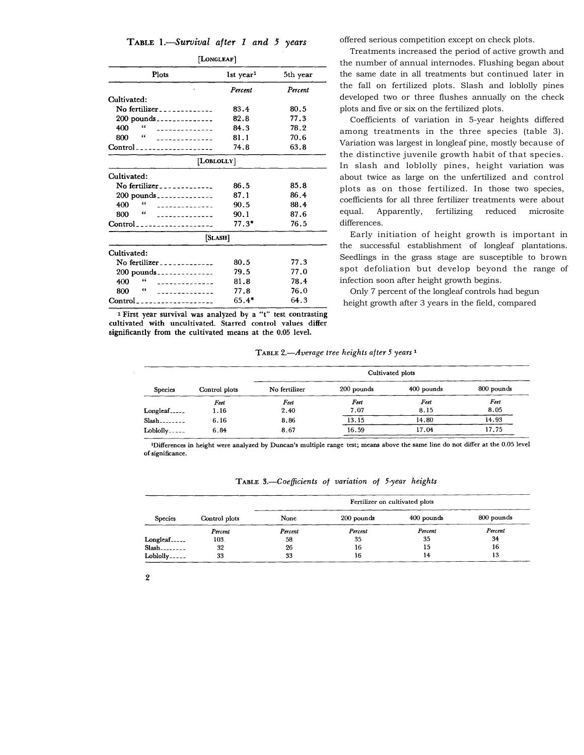|  | TABLE 1.—Survival after 1 and 5 years |  |  |  |
|--|---------------------------------------|--|--|--|
|  |                                       |  |  |  |

| [LONGLEAF]                                              |                         |          |
|---------------------------------------------------------|-------------------------|----------|
| Plots                                                   | $1st$ year <sup>1</sup> | 5th year |
|                                                         | Percent                 | Percent  |
| Cultivated:                                             |                         |          |
| No fertilizer                                           | 83.4                    | 80.5     |
| $200$ pounds                                            | 82.8                    | 77.3     |
| "<br>400<br>--------------                              | 84.3                    | 78.2     |
| 66<br>800<br>--------------                             | 81.1                    | 70.6     |
| $Control$ <sub>n-</sub> -------------------             | 74.8                    | 63.8     |
| [LOBLOLLY]                                              |                         |          |
| Cultivated:                                             |                         |          |
| No fertilizer _ _ _ _ _ _ _ _ _ _ _ _                   | 86.5                    | 85.8     |
| $200$ pounds _______________                            | 87.1                    | 86.4     |
| 66<br>400<br>--------------                             | 90.5                    | 88.4     |
| 66<br>800<br>--------------                             | 90.1                    | 87.6     |
|                                                         | $77.3*$                 | 76.5     |
| [SLASH]                                                 |                         |          |
| Cultivated:                                             |                         |          |
| No fertilizer _ _ _ _ _ _ _ _ _ _ _ _                   | 80.5                    | 77.3     |
| $200$ pounds                                            | 79.5                    | 77.0     |
| 66<br>400<br>--------------                             | 81.8                    | 78.4     |
| ٤٤<br>800<br>--------------                             | 77.8                    | 76.0     |
| Control<br>the control of the control of the control of | $65.4*$                 | 64.3     |
|                                                         |                         |          |

<sup>1</sup> First year survival was analyzed by a "t" test contrasting cultivated with uncultivated. Starred control values differ significantly from the cultivated means at the 0.05 level.

offered serious competition except on check plots.

Treatments increased the period of active growth and the number of annual internodes. Flushing began about the same date in all treatments but continued later in the fall on fertilized plots. Slash and loblolly pines developed two or three flushes annually on the check plots and five or six on the fertilized plots.

Coefficients of variation in 5-year heights differed among treatments in the three species (table 3). Variation was largest in longleaf pine, mostly because of the distinctive juvenile growth habit of that species. In slash and loblolly pines, height variation was about twice as large on the unfertilized and control plots as on those fertilized. In those two species, coefficients for all three fertilizer treatments were about equal. Apparently, fertilizing reduced microsite differences.

Early initiation of height growth is important in the successful establishment of longleaf plantations. Seedlings in the grass stage are susceptible to brown spot defoliation but develop beyond the range of infection soon after height growth begins.

Only 7 percent of the longleaf controls had begun height growth after 3 years in the field, compared

| TABLE 2.—Average tree heights after 5 years 1 |  |  |
|-----------------------------------------------|--|--|
|                                               |  |  |

|                |               |               |            | Cultivated plots |            |
|----------------|---------------|---------------|------------|------------------|------------|
| <b>Species</b> | Control plots | No fertilizer | 200 pounds | 400 pounds       | 800 pounds |
|                | Feet          | Feet          | Feet       | Feet             | Feet       |
| Longleaf       | 1.16          | 2.40          | 7.07       | 8.15             | 8.05       |
| Slash.         | 6.16          | 8.86          | 13.15      | 14.80            | 14.93      |
| Lobloly        | 6.84          | 8.67          | 16.59      | 17.04            | 17.75      |

<sup>1</sup>Differences in height were analyzed by Duncan's multiple range test; means above the same line do not differ at the 0.05 level of significance.

| TABLE 3.—Coefficients of variation of 5-year heights |  |  |  |  |  |  |  |  |
|------------------------------------------------------|--|--|--|--|--|--|--|--|
|------------------------------------------------------|--|--|--|--|--|--|--|--|

| <b>Species</b>           |               | Fertilizer on cultivated plots |            |            |            |  |  |  |
|--------------------------|---------------|--------------------------------|------------|------------|------------|--|--|--|
|                          | Control plots | None                           | 200 pounds | 400 pounds | 800 pounds |  |  |  |
|                          | Percent       | Percent                        | Percent    | Percent    | Percent    |  |  |  |
| Longleaf                 | 103.          | 58                             | 35         | 35         | 34         |  |  |  |
| $Slash$ <sub>-----</sub> | 32            | 26                             | 16         | 15         | 16         |  |  |  |
| Loblolly                 | 33            | 33                             | 16         | 14         | 13         |  |  |  |